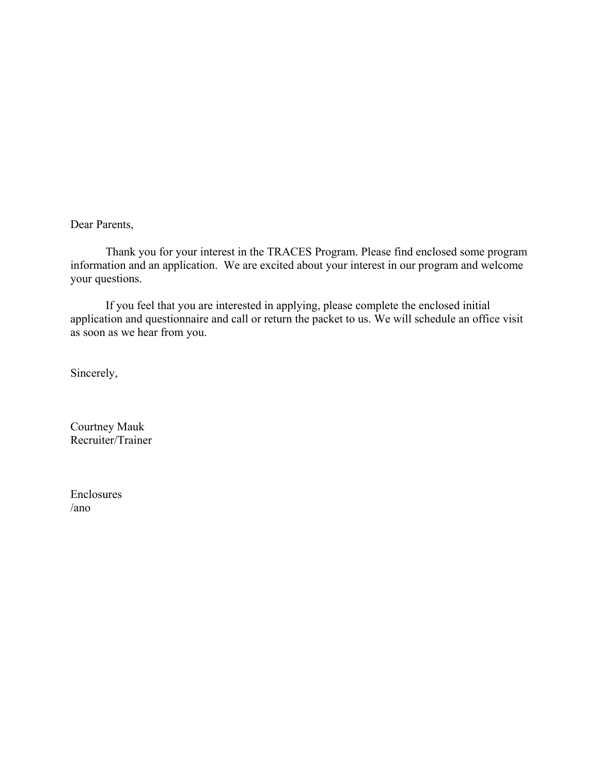Dear Parents,

 Thank you for your interest in the TRACES Program. Please find enclosed some program information and an application. We are excited about your interest in our program and welcome your questions.

 If you feel that you are interested in applying, please complete the enclosed initial application and questionnaire and call or return the packet to us. We will schedule an office visit as soon as we hear from you.

Sincerely,

Courtney Mauk Recruiter/Trainer

Enclosures /ano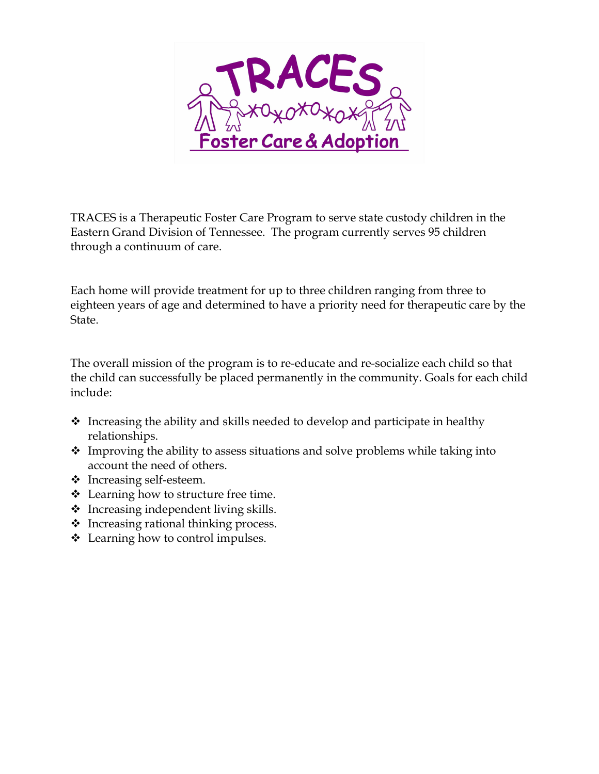

TRACES is a Therapeutic Foster Care Program to serve state custody children in the Eastern Grand Division of Tennessee. The program currently serves 95 children through a continuum of care.

Each home will provide treatment for up to three children ranging from three to eighteen years of age and determined to have a priority need for therapeutic care by the State.

The overall mission of the program is to re-educate and re-socialize each child so that the child can successfully be placed permanently in the community. Goals for each child include:

- $\cdot$  Increasing the ability and skills needed to develop and participate in healthy relationships.
- $\triangle$  Improving the ability to assess situations and solve problems while taking into account the need of others.
- ❖ Increasing self-esteem.
- ❖ Learning how to structure free time.
- $\cdot$  Increasing independent living skills.
- $\triangleleft$  Increasing rational thinking process.
- ❖ Learning how to control impulses.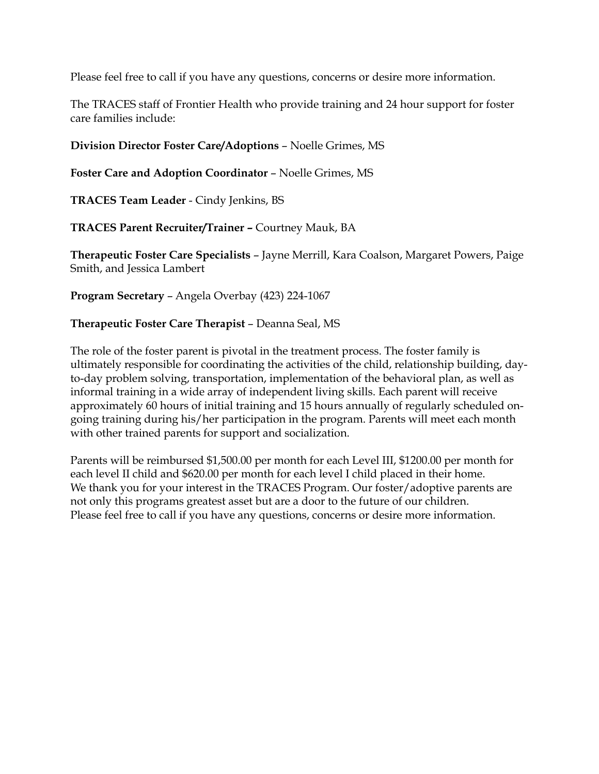Please feel free to call if you have any questions, concerns or desire more information.

The TRACES staff of Frontier Health who provide training and 24 hour support for foster care families include:

**Division Director Foster Care/Adoptions** – Noelle Grimes, MS

**Foster Care and Adoption Coordinator** – Noelle Grimes, MS

**TRACES Team Leader** - Cindy Jenkins, BS

**TRACES Parent Recruiter/Trainer –** Courtney Mauk, BA

**Therapeutic Foster Care Specialists** – Jayne Merrill, Kara Coalson, Margaret Powers, Paige Smith, and Jessica Lambert

**Program Secretary** – Angela Overbay (423) 224-1067

#### **Therapeutic Foster Care Therapist** – Deanna Seal, MS

The role of the foster parent is pivotal in the treatment process. The foster family is ultimately responsible for coordinating the activities of the child, relationship building, dayto-day problem solving, transportation, implementation of the behavioral plan, as well as informal training in a wide array of independent living skills. Each parent will receive approximately 60 hours of initial training and 15 hours annually of regularly scheduled ongoing training during his/her participation in the program. Parents will meet each month with other trained parents for support and socialization.

Parents will be reimbursed \$1,500.00 per month for each Level III, \$1200.00 per month for each level II child and \$620.00 per month for each level I child placed in their home. We thank you for your interest in the TRACES Program. Our foster/adoptive parents are not only this programs greatest asset but are a door to the future of our children. Please feel free to call if you have any questions, concerns or desire more information.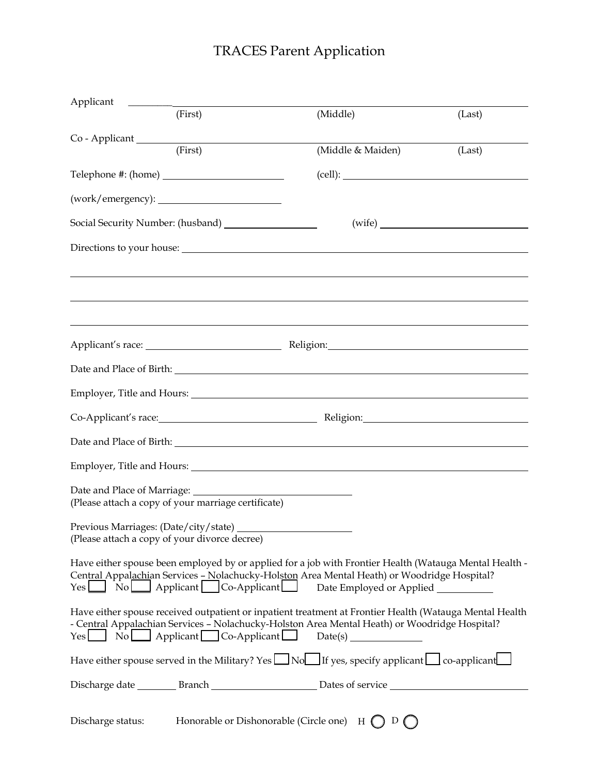# TRACES Parent Application

| Applicant                                           |                                                                                                                                                                                                                                                                                               |        |
|-----------------------------------------------------|-----------------------------------------------------------------------------------------------------------------------------------------------------------------------------------------------------------------------------------------------------------------------------------------------|--------|
| (First)                                             | (Middle)                                                                                                                                                                                                                                                                                      | (Last) |
| (First)                                             | (Middle & Maiden)                                                                                                                                                                                                                                                                             | (Last) |
|                                                     |                                                                                                                                                                                                                                                                                               |        |
|                                                     |                                                                                                                                                                                                                                                                                               |        |
|                                                     |                                                                                                                                                                                                                                                                                               |        |
|                                                     |                                                                                                                                                                                                                                                                                               |        |
|                                                     | Directions to your house:                                                                                                                                                                                                                                                                     |        |
|                                                     |                                                                                                                                                                                                                                                                                               |        |
|                                                     |                                                                                                                                                                                                                                                                                               |        |
|                                                     |                                                                                                                                                                                                                                                                                               |        |
|                                                     |                                                                                                                                                                                                                                                                                               |        |
|                                                     |                                                                                                                                                                                                                                                                                               |        |
|                                                     |                                                                                                                                                                                                                                                                                               |        |
|                                                     | Co-Applicant's race: Religion: Religion:                                                                                                                                                                                                                                                      |        |
|                                                     |                                                                                                                                                                                                                                                                                               |        |
|                                                     | Employer, Title and Hours: Note that the same state of the state of the state of the state of the state of the state of the state of the state of the state of the state of the state of the state of the state of the state o                                                                |        |
| Date and Place of Marriage: _________               |                                                                                                                                                                                                                                                                                               |        |
| (Please attach a copy of your marriage certificate) |                                                                                                                                                                                                                                                                                               |        |
| (Please attach a copy of your divorce decree)       |                                                                                                                                                                                                                                                                                               |        |
|                                                     | Have either spouse been employed by or applied for a job with Frontier Health (Watauga Mental Health -<br>Central Appalachian Services - Nolachucky-Holston Area Mental Heath) or Woodridge Hospital?<br>Yes No Applicant Co-Applicant Date Employed or Applied                               |        |
|                                                     | Have either spouse received outpatient or inpatient treatment at Frontier Health (Watauga Mental Health<br>- Central Appalachian Services - Nolachucky-Holston Area Mental Heath) or Woodridge Hospital?<br>$Yes \qquad No \qquad Applicant \qquad Co-Applicant \qquad Date(s) \qquad \qquad$ |        |
|                                                     | Have either spouse served in the Military? Yes $\Box$ No $\Box$ If yes, specify applicant $\Box$ co-applicant                                                                                                                                                                                 |        |
|                                                     |                                                                                                                                                                                                                                                                                               |        |
| Discharge status:                                   | Honorable or Dishonorable (Circle one) $H \bigcap D \bigcap$                                                                                                                                                                                                                                  |        |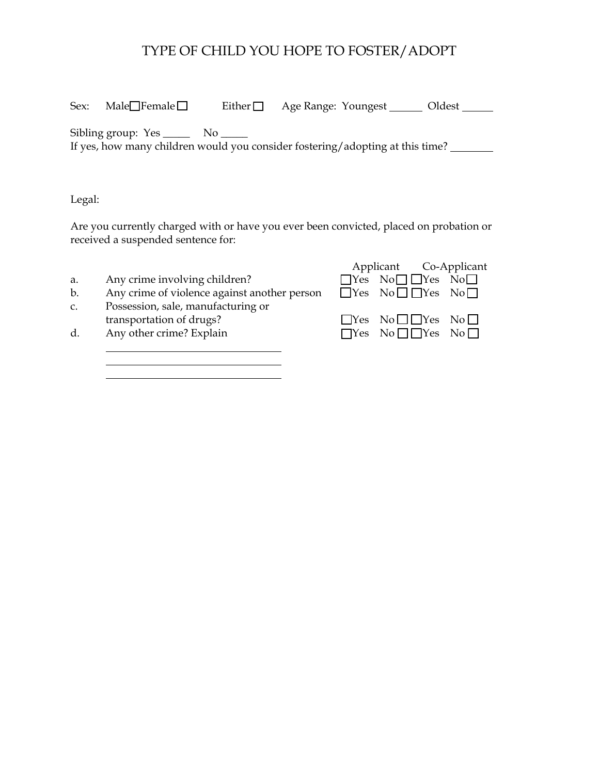# TYPE OF CHILD YOU HOPE TO FOSTER/ADOPT

| Sex: | Male $\Box$ Female $\Box$ | Either $\square$ | Age Range: Youngest                                                           | Oldest |
|------|---------------------------|------------------|-------------------------------------------------------------------------------|--------|
|      | Sibling group: Yes ______ |                  | If yes, how many children would you consider fostering/adopting at this time? |        |

Legal:

Are you currently charged with or have you ever been convicted, placed on probation or received a suspended sentence for:

| Applicant Co-Applicant                    |
|-------------------------------------------|
| $\Box$ Yes No $\Box$ $\Box$ Yes No $\Box$ |
| $\Box$ Yes No $\Box$ Tes No $\Box$        |
|                                           |
| $\Box$ Yes No $\Box$ Yes No $\Box$        |
| $\Box$ Yes No $\Box$ TYes No $\Box$       |
|                                           |

<u> 1980 - Johann Barn, fransk politik (</u>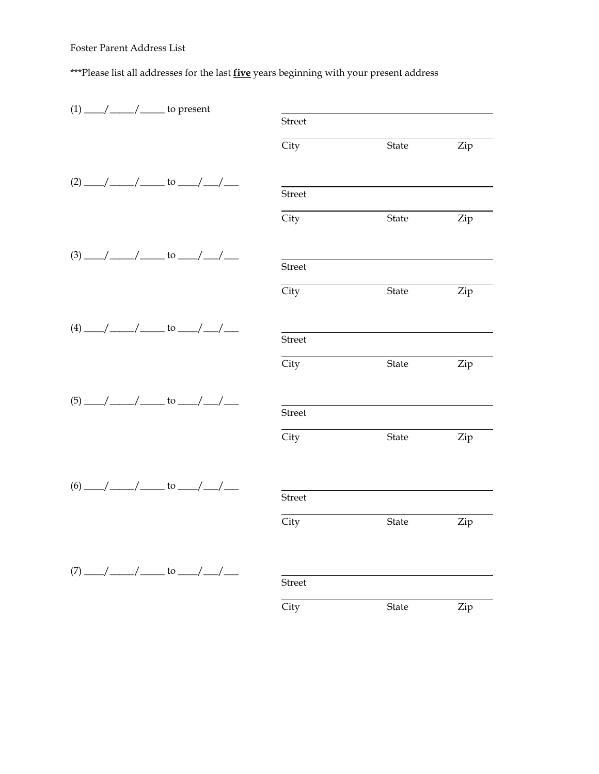#### Foster Parent Address List

\*\*\*Please list all addresses for the last **five** years beginning with your present address

|  | $(1)$ ___/ ____/ ______ to present       |               |       |     |
|--|------------------------------------------|---------------|-------|-----|
|  |                                          | <b>Street</b> |       |     |
|  |                                          | City          | State | Zip |
|  | $(2)$ ___/ ____/ ______ to ___/ ___/ ___ |               |       |     |
|  |                                          | <b>Street</b> |       |     |
|  |                                          | City          | State | Zip |
|  | $(3)$ ___/ ____/ _____ to ___/ __/ ___   | <b>Street</b> |       |     |
|  |                                          |               |       |     |
|  |                                          | City          | State | Zip |
|  | $(4)$ ___/ ____/ ______ to ___/ ___/ ___ |               |       |     |
|  |                                          | Street        |       |     |
|  |                                          | City          | State | Zip |
|  | $(5)$ ___/ ____/ ______ to ___/ ___/ ___ |               |       |     |
|  |                                          | <b>Street</b> |       |     |
|  |                                          | City          | State | Zip |
|  |                                          |               |       |     |
|  | $(6)$ __/ __/ ___ to __/ __/ __          | <b>Street</b> |       |     |
|  |                                          | City          | State | Zip |
|  | $(7)$ ___/ ___/ _____ to ___/ __/ ___    |               |       |     |
|  |                                          | <b>Street</b> |       |     |
|  |                                          | City          | State | Zip |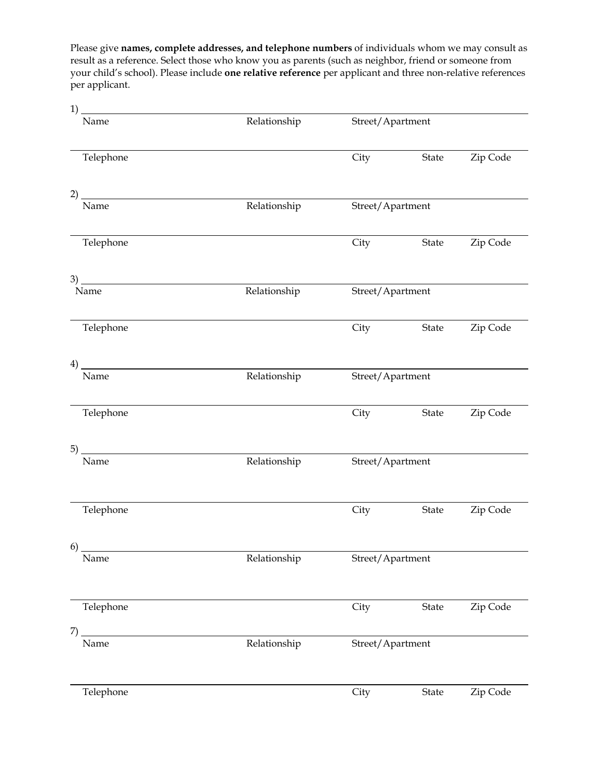Please give **names, complete addresses, and telephone numbers** of individuals whom we may consult as result as a reference. Select those who know you as parents (such as neighbor, friend or someone from your child's school). Please include **one relative reference** per applicant and three non-relative references per applicant.

1)

| 1) _<br>Name             | Relationship | Street/Apartment |                  |          |
|--------------------------|--------------|------------------|------------------|----------|
| Telephone                |              | City             | State            | Zip Code |
|                          |              |                  |                  |          |
| Name                     | Relationship | Street/Apartment |                  |          |
| Telephone                |              | City             | State            | Zip Code |
|                          |              |                  |                  |          |
| Name                     | Relationship | Street/Apartment |                  |          |
| Telephone                |              | City             | State            | Zip Code |
| $\left(4\right)$<br>Name | Relationship | Street/Apartment |                  |          |
| Telephone                |              | City             | State            | Zip Code |
| 5)                       |              |                  |                  |          |
| Name                     | Relationship | Street/Apartment |                  |          |
| Telephone                |              | City             | State            | Zip Code |
| 6)<br>Name               | Relationship | Street/Apartment |                  |          |
|                          |              |                  |                  |          |
| Telephone                |              | City             | State            | Zip Code |
| 7)<br>Name               | Relationship |                  | Street/Apartment |          |
| Telephone                |              | City             | State            | Zip Code |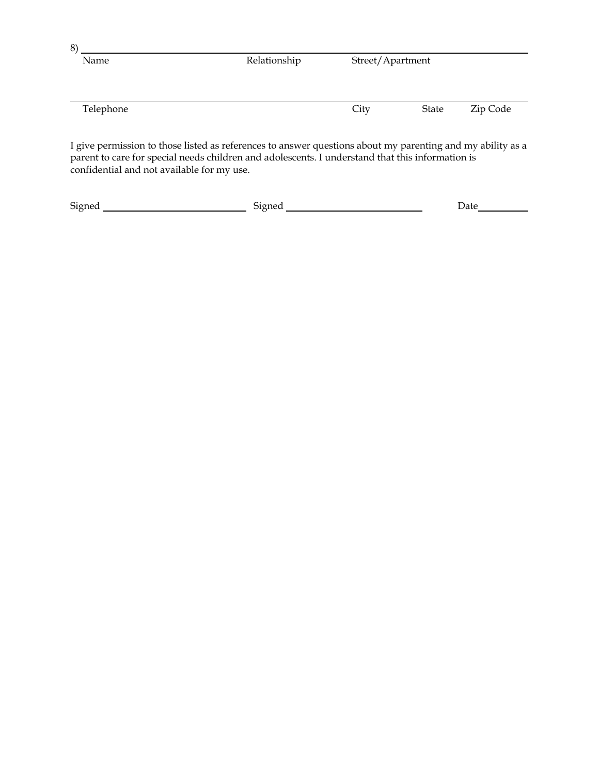| Name           | Relationship |      | Street/Apartment                                                                                                                                                                                                                |          |
|----------------|--------------|------|---------------------------------------------------------------------------------------------------------------------------------------------------------------------------------------------------------------------------------|----------|
| Telephone      |              | City | State                                                                                                                                                                                                                           | Zip Code |
| $\mathbf{r}$ . |              |      | $\sim$ . The set of the set of the set of the set of the set of the set of the set of the set of the set of the set of the set of the set of the set of the set of the set of the set of the set of the set of the set of the s | 1.11.1   |

I give permission to those listed as references to answer questions about my parenting and my ability as a parent to care for special needs children and adolescents. I understand that this information is confidential and not available for my use.

| $\sim$<br>Signer' | - - -<br>. Aonec | Jate<br>-<br>__ |
|-------------------|------------------|-----------------|
|                   |                  |                 |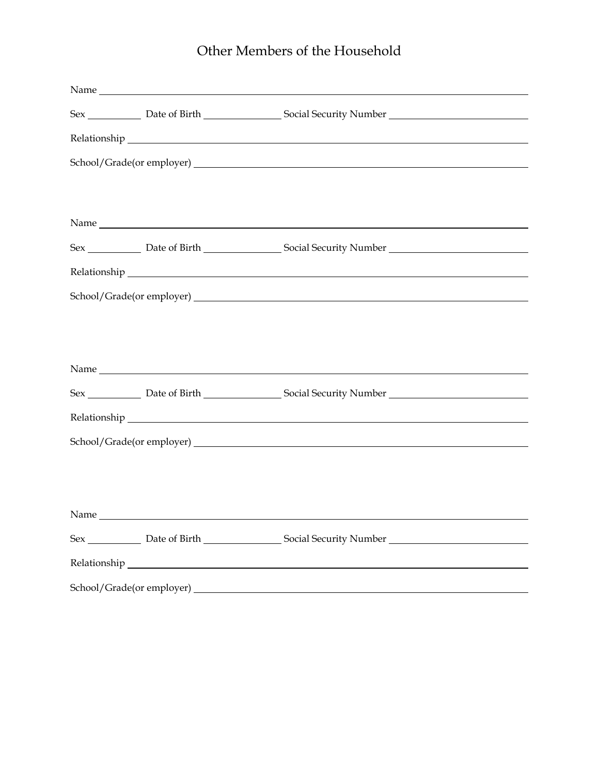# Other Members of the Household

|      | Sex _____________ Date of Birth _____________________ Social Security Number ______________________  |  |
|------|------------------------------------------------------------------------------------------------------|--|
|      |                                                                                                      |  |
|      |                                                                                                      |  |
|      |                                                                                                      |  |
|      |                                                                                                      |  |
|      | Sex _____________ Date of Birth __________________ Social Security Number __________________________ |  |
|      |                                                                                                      |  |
|      |                                                                                                      |  |
|      |                                                                                                      |  |
|      |                                                                                                      |  |
|      |                                                                                                      |  |
|      | Sex _____________ Date of Birth ___________________ Social Security Number _________________________ |  |
|      |                                                                                                      |  |
|      |                                                                                                      |  |
|      |                                                                                                      |  |
|      |                                                                                                      |  |
| Name |                                                                                                      |  |
|      | Sex _____________ Date of Birth __________________ Social Security Number __________________________ |  |
|      |                                                                                                      |  |
|      |                                                                                                      |  |
|      |                                                                                                      |  |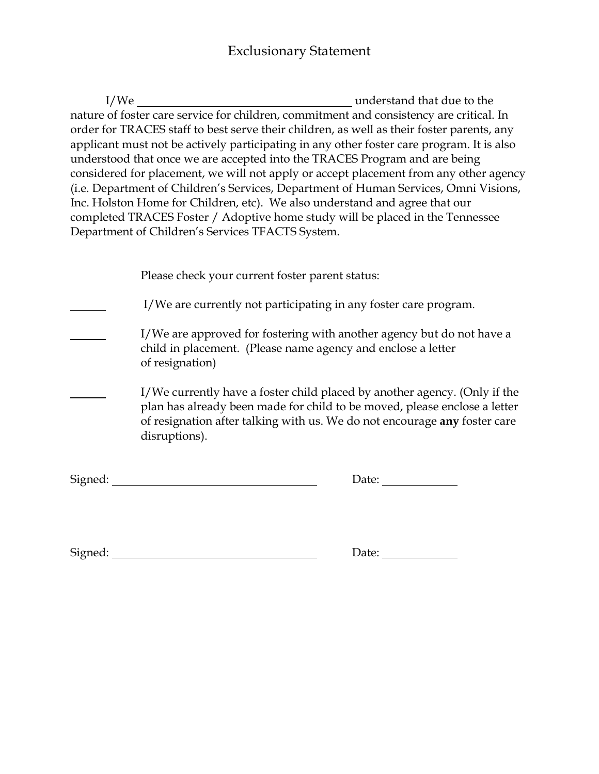I/We understand that due to the nature of foster care service for children, commitment and consistency are critical. In order for TRACES staff to best serve their children, as well as their foster parents, any applicant must not be actively participating in any other foster care program. It is also understood that once we are accepted into the TRACES Program and are being considered for placement, we will not apply or accept placement from any other agency (i.e. Department of Children's Services, Department of Human Services, Omni Visions, Inc. Holston Home for Children, etc). We also understand and agree that our completed TRACES Foster / Adoptive home study will be placed in the Tennessee Department of Children's Services TFACTS System.

|         | Please check your current foster parent status:                                                                                                                                                                                                      |
|---------|------------------------------------------------------------------------------------------------------------------------------------------------------------------------------------------------------------------------------------------------------|
|         | I/We are currently not participating in any foster care program.                                                                                                                                                                                     |
|         | I/We are approved for fostering with another agency but do not have a<br>child in placement. (Please name agency and enclose a letter<br>of resignation)                                                                                             |
|         | I/We currently have a foster child placed by another agency. (Only if the<br>plan has already been made for child to be moved, please enclose a letter<br>of resignation after talking with us. We do not encourage any foster care<br>disruptions). |
| Signed: | Date:                                                                                                                                                                                                                                                |

Signed: Date: Date: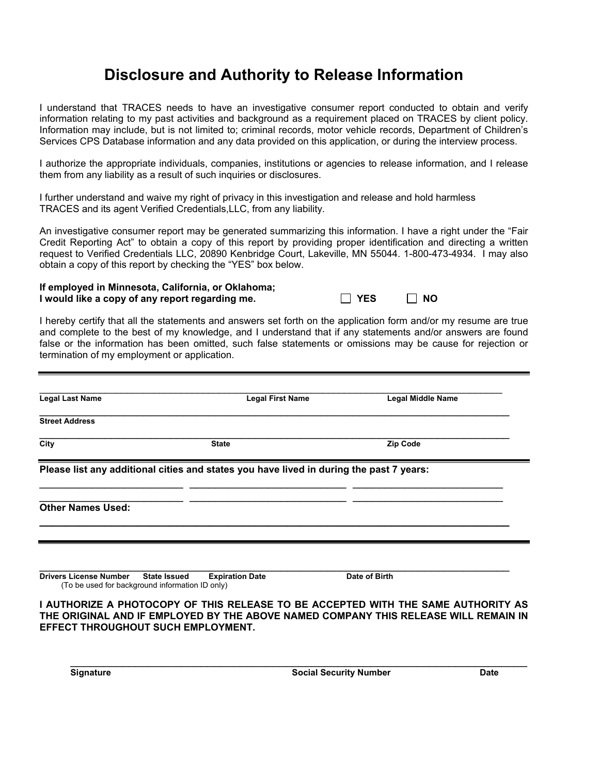# **Disclosure and Authority to Release Information**

I understand that TRACES needs to have an investigative consumer report conducted to obtain and verify information relating to my past activities and background as a requirement placed on TRACES by client policy. Information may include, but is not limited to; criminal records, motor vehicle records, Department of Children's Services CPS Database information and any data provided on this application, or during the interview process.

I authorize the appropriate individuals, companies, institutions or agencies to release information, and I release them from any liability as a result of such inquiries or disclosures.

I further understand and waive my right of privacy in this investigation and release and hold harmless TRACES and its agent Verified Credentials,LLC, from any liability.

An investigative consumer report may be generated summarizing this information. I have a right under the "Fair Credit Reporting Act" to obtain a copy of this report by providing proper identification and directing a written request to Verified Credentials LLC, 20890 Kenbridge Court, Lakeville, MN 55044. 1-800-473-4934. I may also obtain a copy of this report by checking the "YES" box below.

#### **If employed in Minnesota, California, or Oklahoma; I** would like a copy of any report regarding me.  $\Box$  YES  $\Box$  NO

I hereby certify that all the statements and answers set forth on the application form and/or my resume are true and complete to the best of my knowledge, and I understand that if any statements and/or answers are found false or the information has been omitted, such false statements or omissions may be cause for rejection or termination of my employment or application.

| <b>Legal Last Name</b>                                                                                  | <b>Legal First Name</b>                                                                 | <b>Legal Middle Name</b> |
|---------------------------------------------------------------------------------------------------------|-----------------------------------------------------------------------------------------|--------------------------|
| <b>Street Address</b>                                                                                   |                                                                                         |                          |
| City                                                                                                    | <b>State</b>                                                                            | <b>Zip Code</b>          |
|                                                                                                         | Please list any additional cities and states you have lived in during the past 7 years: |                          |
| <b>Other Names Used:</b>                                                                                |                                                                                         |                          |
|                                                                                                         |                                                                                         |                          |
| <b>Drivers License Number</b><br><b>State Issued</b><br>(To be used for background information ID only) | <b>Expiration Date</b>                                                                  | Date of Birth            |

**I AUTHORIZE A PHOTOCOPY OF THIS RELEASE TO BE ACCEPTED WITH THE SAME AUTHORITY AS THE ORIGINAL AND IF EMPLOYED BY THE ABOVE NAMED COMPANY THIS RELEASE WILL REMAIN IN EFFECT THROUGHOUT SUCH EMPLOYMENT.** 

\_\_\_\_\_\_\_\_\_\_\_\_\_\_\_\_\_\_\_\_\_\_\_\_\_\_\_\_\_\_\_\_\_\_\_\_\_\_\_\_\_\_\_\_\_\_\_\_\_\_\_\_\_\_\_\_\_\_\_\_\_\_\_\_\_\_\_\_\_\_